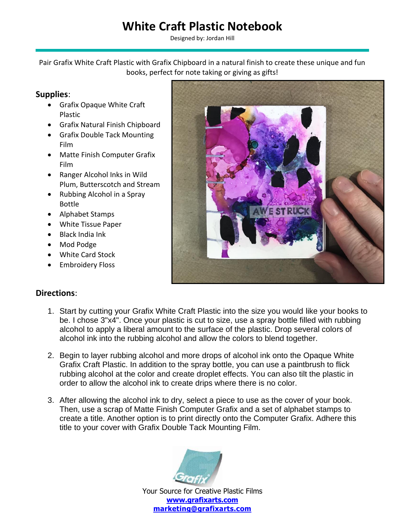## **White Craft Plastic Notebook**

Designed by: Jordan Hill

Pair Grafix White Craft Plastic with Grafix Chipboard in a natural finish to create these unique and fun books, perfect for note taking or giving as gifts!

## **Supplies**:

- Grafix Opaque White Craft Plastic
- Grafix Natural Finish Chipboard
- Grafix Double Tack Mounting Film
- Matte Finish Computer Grafix Film
- Ranger Alcohol Inks in Wild Plum, Butterscotch and Stream
- Rubbing Alcohol in a Spray Bottle
- Alphabet Stamps
- White Tissue Paper
- Black India Ink
- Mod Podge
- White Card Stock
- Embroidery Floss



## **Directions**:

- 1. Start by cutting your Grafix White Craft Plastic into the size you would like your books to be. I chose 3"x4". Once your plastic is cut to size, use a spray bottle filled with rubbing alcohol to apply a liberal amount to the surface of the plastic. Drop several colors of alcohol ink into the rubbing alcohol and allow the colors to blend together.
- 2. Begin to layer rubbing alcohol and more drops of alcohol ink onto the Opaque White Grafix Craft Plastic. In addition to the spray bottle, you can use a paintbrush to flick rubbing alcohol at the color and create droplet effects. You can also tilt the plastic in order to allow the alcohol ink to create drips where there is no color.
- 3. After allowing the alcohol ink to dry, select a piece to use as the cover of your book. Then, use a scrap of Matte Finish Computer Grafix and a set of alphabet stamps to create a title. Another option is to print directly onto the Computer Grafix. Adhere this title to your cover with Grafix Double Tack Mounting Film.



Your Source for Creative Plastic Films **[www.grafixarts.com](http://www.grafixarts.com/) [marketing@grafixarts.com](mailto:marketing@grafixarts.com)**